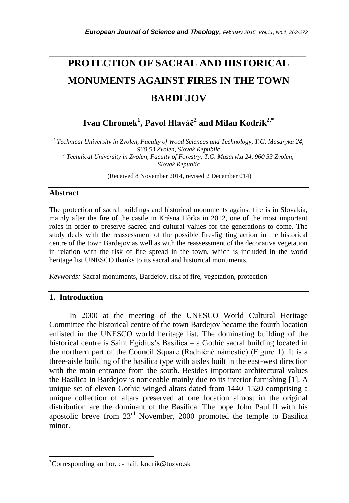# **PROTECTION OF SACRAL AND HISTORICAL MONUMENTS AGAINST FIRES IN THE TOWN BARDEJOV**

*\_\_\_\_\_\_\_\_\_\_\_\_\_\_\_\_\_\_\_\_\_\_\_\_\_\_\_\_\_\_\_\_\_\_\_\_\_\_\_\_\_\_\_\_\_\_\_\_\_\_\_\_\_\_\_\_\_\_\_\_\_\_\_\_\_\_\_\_\_\_\_*

**Ivan Chromek<sup>1</sup> , Pavol Hlaváč<sup>2</sup> and Milan Kodrík2,\***

*1 Technical University in Zvolen, Faculty of Wood Sciences and Technology, T.G. Masaryka 24, 960 53 Zvolen, Slovak Republic 2 Technical University in Zvolen, Faculty of Forestry, T.G. Masaryka 24, 960 53 Zvolen, Slovak Republic*

(Received 8 November 2014, revised 2 December 014)

## **Abstract**

The protection of sacral buildings and historical monuments against fire is in Slovakia, mainly after the fire of the castle in Krásna Hôrka in 2012, one of the most important roles in order to preserve sacred and cultural values for the generations to come. The study deals with the reassessment of the possible fire-fighting action in the historical centre of the town Bardejov as well as with the reassessment of the decorative vegetation in relation with the risk of fire spread in the town, which is included in the world heritage list UNESCO thanks to its sacral and historical monuments.

*Keywords:* Sacral monuments, Bardejov, risk of fire, vegetation, protection

## **1. Introduction**

l

In 2000 at the meeting of the UNESCO World Cultural Heritage Committee the historical centre of the town Bardejov became the fourth location enlisted in the UNESCO world heritage list. The dominating building of the historical centre is Saint Egidius's Basilica – a Gothic sacral building located in the northern part of the Council Square (Radničné námestie) (Figure 1). It is a three-aisle building of the basilica type with aisles built in the east-west direction with the main entrance from the south. Besides important architectural values the Basilica in Bardejov is noticeable mainly due to its interior furnishing [1]. A unique set of eleven Gothic winged altars dated from 1440–1520 comprising a unique collection of altars preserved at one location almost in the original distribution are the dominant of the Basilica. The pope John Paul II with his apostolic breve from 23rd November, 2000 promoted the temple to Basilica minor.

<sup>\*</sup>Corresponding author, e-mail[: kodrik@tuzvo.sk](mailto:kodrik@tuzvo.sk)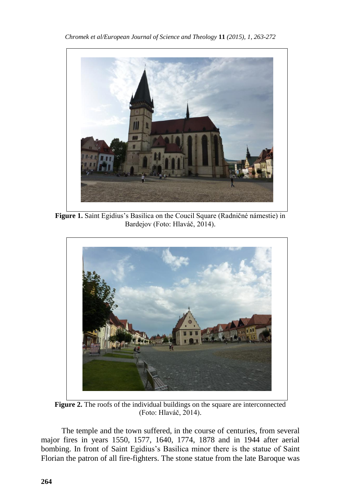

**Figure 1.** Saint Egidius's Basilica on the Coucil Square (Radničné námestie) in Bardejov (Foto: Hlaváč, 2014).



**Figure 2.** The roofs of the individual buildings on the square are interconnected (Foto: Hlaváč, 2014).

The temple and the town suffered, in the course of centuries, from several major fires in years 1550, 1577, 1640, 1774, 1878 and in 1944 after aerial bombing. In front of Saint Egidius's Basilica minor there is the statue of Saint Florian the patron of all fire-fighters. The stone statue from the late Baroque was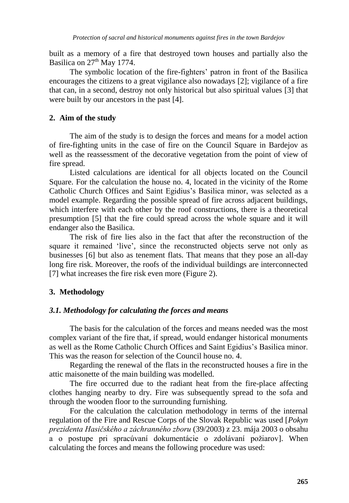built as a memory of a fire that destroyed town houses and partially also the Basilica on  $27<sup>th</sup>$  May 1774.

The symbolic location of the fire-fighters' patron in front of the Basilica encourages the citizens to a great vigilance also nowadays [2]; vigilance of a fire that can, in a second, destroy not only historical but also spiritual values [3] that were built by our ancestors in the past [4].

# **2. Aim of the study**

The aim of the study is to design the forces and means for a model action of fire-fighting units in the case of fire on the Council Square in Bardejov as well as the reassessment of the decorative vegetation from the point of view of fire spread.

Listed calculations are identical for all objects located on the Council Square. For the calculation the house no. 4, located in the vicinity of the Rome Catholic Church Offices and Saint Egidius's Basilica minor, was selected as a model example. Regarding the possible spread of fire across adjacent buildings, which interfere with each other by the roof constructions, there is a theoretical presumption [5] that the fire could spread across the whole square and it will endanger also the Basilica.

The risk of fire lies also in the fact that after the reconstruction of the square it remained 'live', since the reconstructed objects serve not only as businesses [6] but also as tenement flats. That means that they pose an all-day long fire risk. Moreover, the roofs of the individual buildings are interconnected [7] what increases the fire risk even more (Figure 2).

# **3. Methodology**

# *3.1. Methodology for calculating the forces and means*

The basis for the calculation of the forces and means needed was the most complex variant of the fire that, if spread, would endanger historical monuments as well as the Rome Catholic Church Offices and Saint Egidius's Basilica minor. This was the reason for selection of the Council house no. 4.

Regarding the renewal of the flats in the reconstructed houses a fire in the attic maisonette of the main building was modelled.

The fire occurred due to the radiant heat from the fire-place affecting clothes hanging nearby to dry. Fire was subsequently spread to the sofa and through the wooden floor to the surrounding furnishing.

For the calculation the calculation methodology in terms of the internal regulation of the Fire and Rescue Corps of the Slovak Republic was used [*Pokyn prezidenta Hasičského a záchranného zboru* (39/2003) z 23. mája 2003 o obsahu a o postupe pri spracúvaní dokumentácie o zdolávaní požiarov]. When calculating the forces and means the following procedure was used: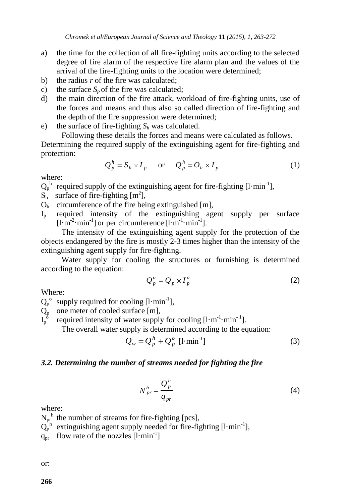- a) the time for the collection of all fire-fighting units according to the selected degree of fire alarm of the respective fire alarm plan and the values of the arrival of the fire-fighting units to the location were determined;
- b) the radius *r* of the fire was calculated;
- c) the surface  $S_p$  of the fire was calculated;
- d) the main direction of the fire attack, workload of fire-fighting units, use of the forces and means and thus also so called direction of fire-fighting and the depth of the fire suppression were determined;
- e) the surface of fire-fighting *S<sup>h</sup>* was calculated.

Following these details the forces and means were calculated as follows. Determining the required supply of the extinguishing agent for fire-fighting and protection:

$$
Q_p^h = S_h \times I_p \quad \text{or} \quad Q_p^h = O_h \times I_p \tag{1}
$$

where:

 $Q_p^h$  required supply of the extinguishing agent for fire-fighting [l·min<sup>-1</sup>],

- $S_h$  surface of fire-fighting  $[m^2]$ ,
- $O<sub>h</sub>$  circumference of the fire being extinguished [m],
- I<sup>p</sup> required intensity of the extinguishing agent supply per surface  $[1 \cdot m^{-2} \cdot min^{-1}]$  or per circumference  $[1 \cdot m^{-1} \cdot min^{-1}]$ .

The intensity of the extinguishing agent supply for the protection of the objects endangered by the fire is mostly 2-3 times higher than the intensity of the extinguishing agent supply for fire-fighting.

Water supply for cooling the structures or furnishing is determined according to the equation:

$$
Q_p^o = Q_p \times I_p^o \tag{2}
$$

Where:

 $Q_p^{\circ}$  supply required for cooling  $[1 \cdot \text{min}^{-1}]$ ,

- $Q_p$  one meter of cooled surface [m],
- $I_p^{\;\dot{\mathrm{o}}}$ required intensity of water supply for cooling  $[1 \cdot m^{-1} \cdot min^{-1}]$ .

The overall water supply is determined according to the equation:

$$
Q_w = Q_p^h + Q_p^o \text{ [1-min}^{-1}\text{]}
$$
 (3)

# *3.2. Determining the number of streams needed for fighting the fire*

$$
N_{pr}^{h} = \frac{Q_p^h}{q_{pr}}
$$
\n<sup>(4)</sup>

where:

- $N_{\text{pr}}^{\text{h}}$  the number of streams for fire-fighting [pcs],
- $Q_p^h$  extinguishing agent supply needed for fire-fighting [l·min<sup>-1</sup>],

 $q_{pr}$  flow rate of the nozzles  $[1 \cdot min^{-1}]$ 

or: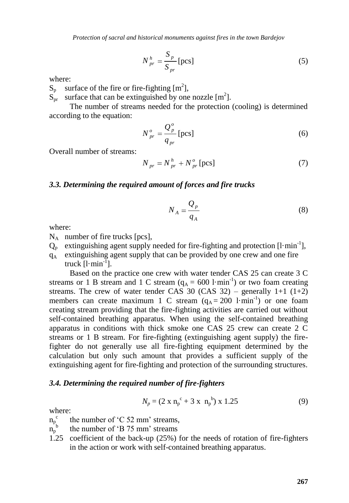*Protection of sacral and historical monuments against fires in the town Bardejov*

$$
N_{pr}^{h} = \frac{S_p}{S_{pr}} \text{[pcs]}
$$
 (5)

where:

 $S_p$  surface of the fire or fire-fighting  $[m^2]$ ,

 $S_{\text{pr}}$  surface that can be extinguished by one nozzle [m<sup>2</sup>].

The number of streams needed for the protection (cooling) is determined according to the equation:

$$
N_{pr}^o = \frac{Q_p^o}{q_{pr}} \text{[pcs]}
$$
 (6)

Overall number of streams:

$$
N_{pr} = N_{pr}^h + N_{pr}^o \left[ \text{pcs} \right] \tag{7}
$$

#### *3.3. Determining the required amount of forces and fire trucks*

$$
N_A = \frac{Q_p}{q_A} \tag{8}
$$

where:

- $N_A$  number of fire trucks [pcs],
- $Q_p$  extinguishing agent supply needed for fire-fighting and protection [l·min<sup>-1</sup>],
- $q_A$  extinguishing agent supply that can be provided by one crew and one fire truck  $[1 \cdot \text{min}^{-1}]$ .

Based on the practice one crew with water tender CAS 25 can create 3 C streams or 1 B stream and 1 C stream  $(q_A = 600 \text{ l·min}^{-1})$  or two foam creating streams. The crew of water tender CAS 30 (CAS 32) – generally  $1+1$   $(1+2)$ members can create maximum 1 C stream  $(q_A = 200 \text{ l-min}^{-1})$  or one foam creating stream providing that the fire-fighting activities are carried out without self-contained breathing apparatus. When using the self-contained breathing apparatus in conditions with thick smoke one CAS 25 crew can create 2 C streams or 1 B stream. For fire-fighting (extinguishing agent supply) the firefighter do not generally use all fire-fighting equipment determined by the calculation but only such amount that provides a sufficient supply of the extinguishing agent for fire-fighting and protection of the surrounding structures.

#### *3.4. Determining the required number of fire-fighters*

$$
N_p = (2 \times n_p^c + 3 \times n_p^b) \times 1.25 \tag{9}
$$

where:

- $n_p^{\ c}$ the number of 'C 52 mm' streams,
- $n_p^{\text{b}}$ the number of 'B 75 mm' streams
- 1.25 coefficient of the back-up (25%) for the needs of rotation of fire-fighters in the action or work with self-contained breathing apparatus.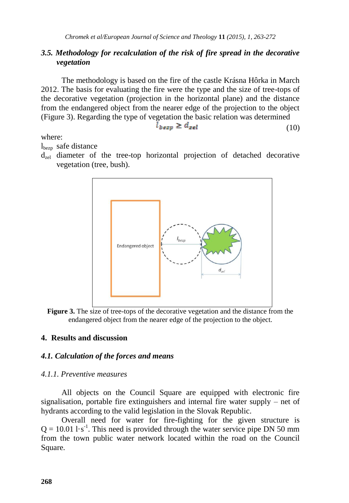# *3.5. Methodology for recalculation of the risk of fire spread in the decorative vegetation*

The methodology is based on the fire of the castle Krásna Hôrka in March 2012. The basis for evaluating the fire were the type and the size of tree-tops of the decorative vegetation (projection in the horizontal plane) and the distance from the endangered object from the nearer edge of the projection to the object (Figure 3). Regarding the type of vegetation the basic relation was determined

$$
\dot{l}_{bexp} \ge d_{zel} \tag{10}
$$

where:

l<sub>bezp</sub> safe distance

 $d_{\text{rel}}$  diameter of the tree-top horizontal projection of detached decorative vegetation (tree, bush).



**Figure 3.** The size of tree-tops of the decorative vegetation and the distance from the endangered object from the nearer edge of the projection to the object.

# **4. Results and discussion**

# *4.1. Calculation of the forces and means*

# *4.1.1. Preventive measures*

All objects on the Council Square are equipped with electronic fire signalisation, portable fire extinguishers and internal fire water supply – net of hydrants according to the valid legislation in the Slovak Republic.

Overall need for water for fire-fighting for the given structure is  $Q = 10.011 \cdot s^{-1}$ . This need is provided through the water service pipe DN 50 mm from the town public water network located within the road on the Council Square.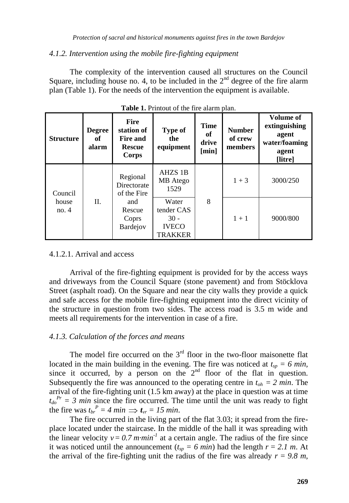#### *4.1.2. Intervention using the mobile fire-fighting equipment*

The complexity of the intervention caused all structures on the Council Square, including house no. 4, to be included in the  $2<sup>nd</sup>$  degree of the fire alarm plan (Table 1). For the needs of the intervention the equipment is available.

| <b>Structure</b>         | <b>Degree</b><br>оť<br>alarm | <b>Fire</b><br>station of<br><b>Fire and</b><br><b>Rescue</b><br>Corps | Type of<br>the<br>equipment                              | <b>Time</b><br>of<br>drive<br>[min] | <b>Number</b><br>of crew<br>members | Volume of<br>extinguishing<br>agent<br>water/foaming<br>agent<br>[litre] |
|--------------------------|------------------------------|------------------------------------------------------------------------|----------------------------------------------------------|-------------------------------------|-------------------------------------|--------------------------------------------------------------------------|
| Council<br>house<br>no.4 | П.                           | Regional<br>Directorate<br>of the Fire                                 | AHZS 1B<br>MB Atego<br>1529                              | 8                                   | $1 + 3$                             | 3000/250                                                                 |
|                          |                              | and<br>Rescue<br>Coprs<br><b>Bardejov</b>                              | Water<br>tender CAS<br>$30 -$<br><b>IVECO</b><br>TRAKKER |                                     | $1 + 1$                             | 9000/800                                                                 |

|  |  | Table 1. Printout of the fire alarm plan. |  |  |  |  |  |
|--|--|-------------------------------------------|--|--|--|--|--|
|--|--|-------------------------------------------|--|--|--|--|--|

#### 4.1.2.1. Arrival and access

Arrival of the fire-fighting equipment is provided for by the access ways and driveways from the Council Square (stone pavement) and from Stöcklova Street (asphalt road). On the Square and near the city walls they provide a quick and safe access for the mobile fire-fighting equipment into the direct vicinity of the structure in question from two sides. The access road is 3.5 m wide and meets all requirements for the intervention in case of a fire.

## *4.1.3. Calculation of the forces and means*

The model fire occurred on the  $3<sup>rd</sup>$  floor in the two-floor maisonette flat located in the main building in the evening. The fire was noticed at  $t_{sp} = 6$  min, since it occurred, by a person on the  $2<sup>nd</sup>$  floor of the flat in question. Subsequently the fire was announced to the operating centre in  $t_{oh} = 2$  min. The arrival of the fire-fighting unit (1.5 km away) at the place in question was at time  $t_{d0}^{P_r} = 3$  *min* since the fire occurred. The time until the unit was ready to fight the fire was  $t_{br}^P = 4 min \implies t_{vr} = 15 min$ .

The fire occurred in the living part of the flat 3.03; it spread from the fireplace located under the staircase. In the middle of the hall it was spreading with the linear velocity  $v = 0.7$  *m·min<sup>-1</sup>* at a certain angle. The radius of the fire since it was noticed until the announcement  $(t_{sp} = 6 \text{ min})$  had the length  $r = 2.1 \text{ m}$ . At the arrival of the fire-fighting unit the radius of the fire was already  $r = 9.8$  m,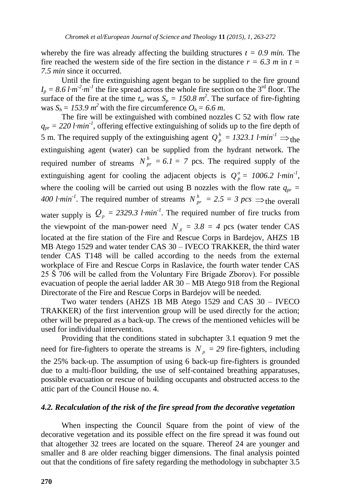whereby the fire was already affecting the building structures  $t = 0.9$  min. The fire reached the western side of the fire section in the distance  $r = 6.3$  m in  $t =$ *7.5 min* since it occurred.

Until the fire extinguishing agent began to be supplied to the fire ground  $I_p = 8.6$  *l·m*<sup>-2</sup>*·m*<sup>-1</sup> the fire spread across the whole fire section on the 3<sup>rd</sup> floor. The surface of the fire at the time  $t_{vr}$  was  $S_p = 150.8$   $m^2$ . The surface of fire-fighting was  $S_h = 153.9 \text{ m}^2$  with the fire circumference  $O_h = 6.6 \text{ m}$ .

The fire will be extinguished with combined nozzles C 52 with flow rate  $q_{pr}$  = 220 *l·min<sup>-1</sup>*, offering effective extinguishing of solids up to the fire depth of 5 m. The required supply of the extinguishing agent  $Q_p^h = 1323.1$  l·min<sup>-1</sup>  $\Rightarrow$  the extinguishing agent (water) can be supplied from the hydrant network. The required number of streams  $N_{pr}^h = 6.1 = 7$  pcs. The required supply of the extinguishing agent for cooling the adjacent objects is  $Q_p^o = 1006.2$  l·min<sup>-1</sup>, where the cooling will be carried out using B nozzles with the flow rate  $q_{pr}$  = *400 l·min<sup>-1</sup>*. The required number of streams  $N_{pr}^h = 2.5 = 3 \text{ } pcs \implies$  the overall water supply is  $Q_p = 2329.3$  l·min<sup>-1</sup>. The required number of fire trucks from the viewpoint of the man-power need  $N_A = 3.8 = 4$  pcs (water tender CAS located at the fire station of the Fire and Rescue Corps in Bardejov, AHZS 1B MB Atego 1529 and water tender CAS 30 – IVECO TRAKKER, the third water tender CAS T148 will be called according to the needs from the external workplace of Fire and Rescue Corps in Raslavice, the fourth water tender CAS 25 \$706 will be called from the Voluntary Fire Brigade Zborov). For possible evacuation of people the aerial ladder AR 30 – MB Atego 918 from the Regional Directorate of the Fire and Rescue Corps in Bardejov will be needed.

Two water tenders (AHZS 1B MB Atego 1529 and CAS 30 – IVECO TRAKKER) of the first intervention group will be used directly for the action; other will be prepared as a back-up. The crews of the mentioned vehicles will be used for individual intervention.

Providing that the conditions stated in subchapter 3.1 equation 9 met the need for fire-fighters to operate the streams is  $N_p = 29$  fire-fighters, including the 25% back-up. The assumption of using 6 back-up fire-fighters is grounded due to a multi-floor building, the use of self-contained breathing apparatuses, possible evacuation or rescue of building occupants and obstructed access to the attic part of the Council House no. 4.

## *4.2. Recalculation of the risk of the fire spread from the decorative vegetation*

When inspecting the Council Square from the point of view of the decorative vegetation and its possible effect on the fire spread it was found out that altogether 32 trees are located on the square. Thereof 24 are younger and smaller and 8 are older reaching bigger dimensions. The final analysis pointed out that the conditions of fire safety regarding the methodology in subchapter 3.5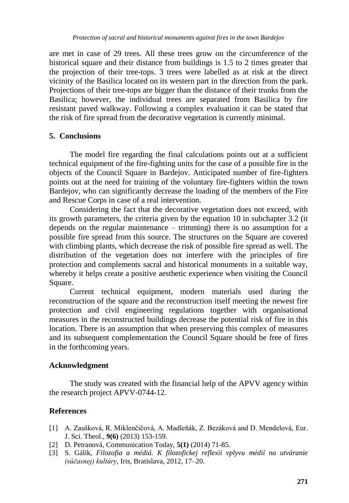are met in case of 29 trees. All these trees grow on the circumference of the historical square and their distance from buildings is 1.5 to 2 times greater that the projection of their tree-tops. 3 trees were labelled as at risk at the direct vicinity of the Basilica located on its western part in the direction from the park. Projections of their tree-tops are bigger than the distance of their trunks from the Basilica; however, the individual trees are separated from Basilica by fire resistant paved walkway. Following a complex evaluation it can be stated that the risk of fire spread from the decorative vegetation is currently minimal.

## **5. Conclusions**

The model fire regarding the final calculations points out at a sufficient technical equipment of the fire-fighting units for the case of a possible fire in the objects of the Council Square in Bardejov. Anticipated number of fire-fighters points out at the need for training of the voluntary fire-fighters within the town Bardejov, who can significantly decrease the loading of the members of the Fire and Rescue Corps in case of a real intervention.

Considering the fact that the decorative vegetation does not exceed, with its growth parameters, the criteria given by the equation 10 in subchapter 3.2 (it depends on the regular maintenance – trimming) there is no assumption for a possible fire spread from this source. The structures on the Square are covered with climbing plants, which decrease the risk of possible fire spread as well. The distribution of the vegetation does not interfere with the principles of fire protection and complements sacral and historical monuments in a suitable way, whereby it helps create a positive aesthetic experience when visiting the Council Square.

Current technical equipment, modern materials used during the reconstruction of the square and the reconstruction itself meeting the newest fire protection and civil engineering regulations together with organisational measures in the reconstructed buildings decrease the potential risk of fire in this location. There is an assumption that when preserving this complex of measures and its subsequent complementation the Council Square should be free of fires in the forthcoming years.

## **Acknowledgment**

The study was created with the financial help of the APVV agency within the research project APVV-0744-12.

# **References**

- [1] A. Zaušková, R. Miklenčičová, A. Madleňák, Z. Bezáková and D. Mendelová, Eur. J. Sci. Theol., **9(6)** (2013) 153-159.
- [2] D. Petranová, Communication Today, **5(1)** (2014) 71-85.
- [3] S. Gálik, *Filozofia a médiá. K filozofickej reflexii vplyvu médií na utváranie (súčasnej) kultúry*, Iris, Bratislava, 2012, 17–20.